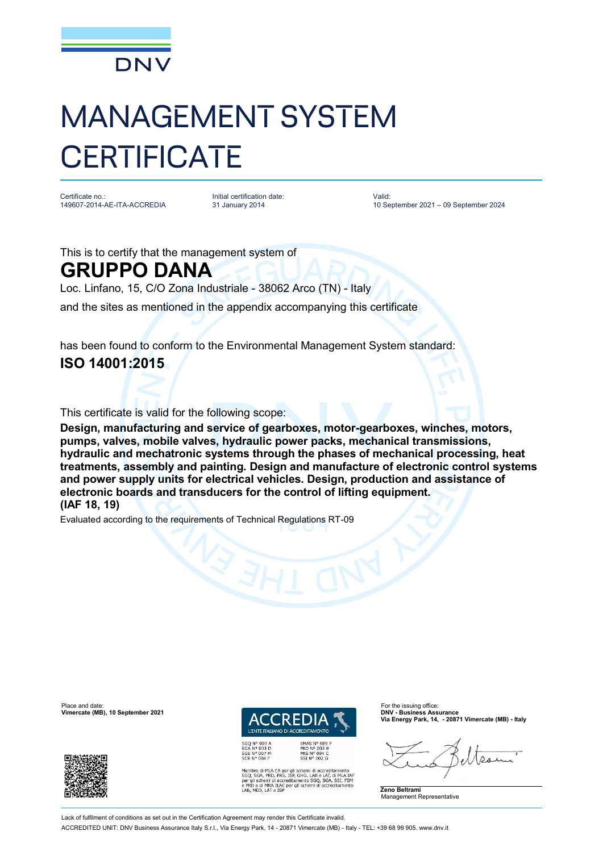

## MANAGEMENT SYSTEM **CERTIFICATE**

Certificate no.: 149607-2014-AE-ITA-ACCREDIA Initial certification date: 31 January 2014

Valid: 10 September 2021 – 09 September 2024

This is to certify that the management system of

## **GRUPPO DANA**

Loc. Linfano, 15, C/O Zona Industriale - 38062 Arco (TN) - Italy

and the sites as mentioned in the appendix accompanying this certificate

has been found to conform to the Environmental Management System standard: **ISO 14001:2015**

This certificate is valid for the following scope:

**Design, manufacturing and service of gearboxes, motor-gearboxes, winches, motors, pumps, valves, mobile valves, hydraulic power packs, mechanical transmissions, hydraulic and mechatronic systems through the phases of mechanical processing, heat treatments, assembly and painting. Design and manufacture of electronic control systems and power supply units for electrical vehicles. Design, production and assistance of electronic boards and transducers for the control of lifting equipment. (IAF 18, 19)**

Evaluated according to the requirements of Technical Regulations RT-09

Place and date: For the issuing office:<br>**Vimercate (MB), 10 September 2021 DNV - Business Assurance** 



**L'ENTE ITALIANO DI ACC** 

EMAS N° 009<br>PRD N° 003 B<br>PRS N° 094 C<br>SSI N° 002 G Membro di MLA EA per gli schemi di accreditamento<br>SGO, SGA, PRD, PRS, ISP, GHG, LAB e LAT, di MLA IAT<br>per gli schemi di accreditamento SGO, SGA, SSI, FSM<br>e PRD e di MRA ILAC per gli schemi di accreditamento<br>LAB, MED, LAT e **Via Energy Park, 14, - 20871 Vimercate (MB) - Italy**



Lack of fulfilment of conditions as set out in the Certification Agreement may render this Certificate invalid ACCREDITED UNIT: DNV Business Assurance Italy S.r.l., Via Energy Park, 14 - 20871 Vimercate (MB) - Italy - TEL: +39 68 99 905. [www.dnv.it](http://www.dnv.it)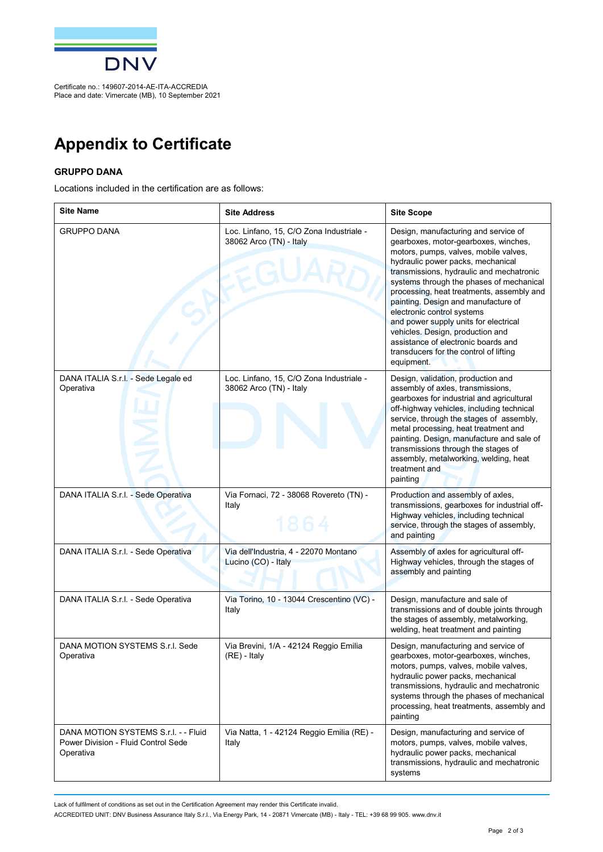

Certificate no.: 149607-2014-AE-ITA-ACCREDIA Place and date: Vimercate (MB), 10 September 2021

## **Appendix to Certificate**

## **GRUPPO DANA**

Locations included in the certification are as follows:

| <b>Site Name</b>                                                                         | <b>Site Address</b>                                                 | <b>Site Scope</b>                                                                                                                                                                                                                                                                                                                                                                                                                                                                                                                                |
|------------------------------------------------------------------------------------------|---------------------------------------------------------------------|--------------------------------------------------------------------------------------------------------------------------------------------------------------------------------------------------------------------------------------------------------------------------------------------------------------------------------------------------------------------------------------------------------------------------------------------------------------------------------------------------------------------------------------------------|
| <b>GRUPPO DANA</b>                                                                       | Loc. Linfano, 15, C/O Zona Industriale -<br>38062 Arco (TN) - Italy | Design, manufacturing and service of<br>gearboxes, motor-gearboxes, winches,<br>motors, pumps, valves, mobile valves,<br>hydraulic power packs, mechanical<br>transmissions, hydraulic and mechatronic<br>systems through the phases of mechanical<br>processing, heat treatments, assembly and<br>painting. Design and manufacture of<br>electronic control systems<br>and power supply units for electrical<br>vehicles. Design, production and<br>assistance of electronic boards and<br>transducers for the control of lifting<br>equipment. |
| DANA ITALIA S.r.l. - Sede Legale ed<br>Operativa                                         | Loc. Linfano, 15, C/O Zona Industriale -<br>38062 Arco (TN) - Italy | Design, validation, production and<br>assembly of axles, transmissions,<br>gearboxes for industrial and agricultural<br>off-highway vehicles, including technical<br>service, through the stages of assembly,<br>metal processing, heat treatment and<br>painting. Design, manufacture and sale of<br>transmissions through the stages of<br>assembly, metalworking, welding, heat<br>treatment and<br>painting                                                                                                                                  |
| DANA ITALIA S.r.l. - Sede Operativa                                                      | Via Fornaci, 72 - 38068 Rovereto (TN) -<br>Italy<br>1864            | Production and assembly of axles,<br>transmissions, gearboxes for industrial off-<br>Highway vehicles, including technical<br>service, through the stages of assembly,<br>and painting                                                                                                                                                                                                                                                                                                                                                           |
| DANA ITALIA S.r.l. - Sede Operativa                                                      | Via dell'Industria, 4 - 22070 Montano<br>Lucino (CO) - Italy        | Assembly of axles for agricultural off-<br>Highway vehicles, through the stages of<br>assembly and painting                                                                                                                                                                                                                                                                                                                                                                                                                                      |
| DANA ITALIA S.r.l. - Sede Operativa                                                      | Via Torino, 10 - 13044 Crescentino (VC) -<br>Italy                  | Design, manufacture and sale of<br>transmissions and of double joints through<br>the stages of assembly, metalworking,<br>welding, heat treatment and painting                                                                                                                                                                                                                                                                                                                                                                                   |
| DANA MOTION SYSTEMS S.r.I. Sede<br>Operativa                                             | Via Brevini, 1/A - 42124 Reggio Emilia<br>(RE) - Italy              | Design, manufacturing and service of<br>gearboxes, motor-gearboxes, winches<br>motors, pumps, valves, mobile valves,<br>hydraulic power packs, mechanical<br>transmissions, hydraulic and mechatronic<br>systems through the phases of mechanical<br>processing, heat treatments, assembly and<br>painting                                                                                                                                                                                                                                       |
| DANA MOTION SYSTEMS S.r.I. - - Fluid<br>Power Division - Fluid Control Sede<br>Operativa | Via Natta, 1 - 42124 Reggio Emilia (RE) -<br>Italy                  | Design, manufacturing and service of<br>motors, pumps, valves, mobile valves,<br>hydraulic power packs, mechanical<br>transmissions, hydraulic and mechatronic<br>systems                                                                                                                                                                                                                                                                                                                                                                        |

Lack of fulfilment of conditions as set out in the Certification Agreement may render this Certificate invalid.

ACCREDITED UNIT: DNV Business Assurance Italy S.r.l., Via Energy Park, 14 - 20871 Vimercate (MB) - Italy - TEL: +39 68 99 905. [www.dnv.it](http://www.dnv.it)